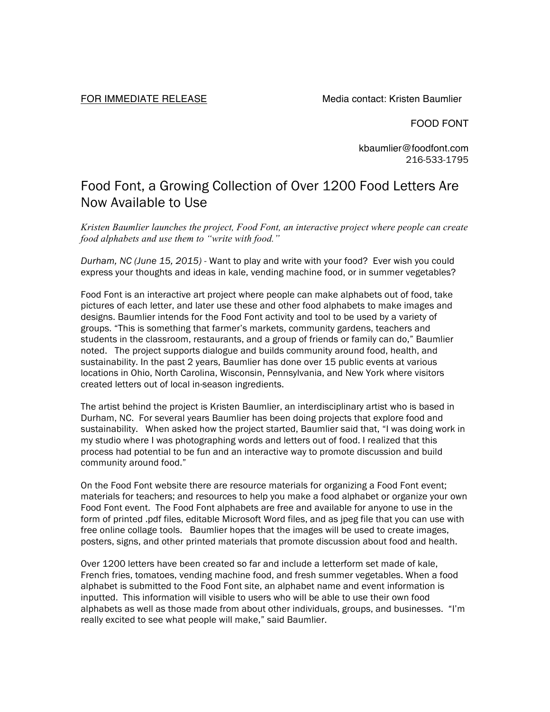FOR IMMEDIATE RELEASE Media contact: Kristen Baumlier

FOOD FONT

kbaumlier@foodfont.com 216-533-1795

## Food Font, a Growing Collection of Over 1200 Food Letters Are Now Available to Use

*Kristen Baumlier launches the project, Food Font, an interactive project where people can create food alphabets and use them to "write with food."*

*Durham, NC (June 15, 2015) -* Want to play and write with your food? Ever wish you could express your thoughts and ideas in kale, vending machine food, or in summer vegetables?

Food Font is an interactive art project where people can make alphabets out of food, take pictures of each letter, and later use these and other food alphabets to make images and designs. Baumlier intends for the Food Font activity and tool to be used by a variety of groups. "This is something that farmer's markets, community gardens, teachers and students in the classroom, restaurants, and a group of friends or family can do," Baumlier noted. The project supports dialogue and builds community around food, health, and sustainability. In the past 2 years, Baumlier has done over 15 public events at various locations in Ohio, North Carolina, Wisconsin, Pennsylvania, and New York where visitors created letters out of local in-season ingredients.

The artist behind the project is Kristen Baumlier, an interdisciplinary artist who is based in Durham, NC. For several years Baumlier has been doing projects that explore food and sustainability. When asked how the project started, Baumlier said that, "I was doing work in my studio where I was photographing words and letters out of food. I realized that this process had potential to be fun and an interactive way to promote discussion and build community around food."

On the Food Font website there are resource materials for organizing a Food Font event; materials for teachers; and resources to help you make a food alphabet or organize your own Food Font event. The Food Font alphabets are free and available for anyone to use in the form of printed .pdf files, editable Microsoft Word files, and as jpeg file that you can use with free online collage tools. Baumlier hopes that the images will be used to create images, posters, signs, and other printed materials that promote discussion about food and health.

Over 1200 letters have been created so far and include a letterform set made of kale, French fries, tomatoes, vending machine food, and fresh summer vegetables. When a food alphabet is submitted to the Food Font site, an alphabet name and event information is inputted. This information will visible to users who will be able to use their own food alphabets as well as those made from about other individuals, groups, and businesses. "I'm really excited to see what people will make," said Baumlier.